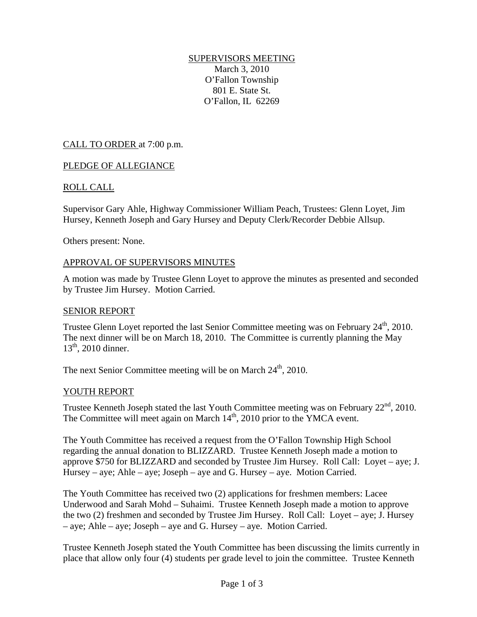# SUPERVISORS MEETING

March 3, 2010 O'Fallon Township 801 E. State St. O'Fallon, IL 62269

## CALL TO ORDER at 7:00 p.m.

## PLEDGE OF ALLEGIANCE

## ROLL CALL

Supervisor Gary Ahle, Highway Commissioner William Peach, Trustees: Glenn Loyet, Jim Hursey, Kenneth Joseph and Gary Hursey and Deputy Clerk/Recorder Debbie Allsup.

Others present: None.

#### APPROVAL OF SUPERVISORS MINUTES

A motion was made by Trustee Glenn Loyet to approve the minutes as presented and seconded by Trustee Jim Hursey. Motion Carried.

#### SENIOR REPORT

Trustee Glenn Loyet reported the last Senior Committee meeting was on February 24<sup>th</sup>, 2010. The next dinner will be on March 18, 2010. The Committee is currently planning the May  $13^{th}$ , 2010 dinner.

The next Senior Committee meeting will be on March 24<sup>th</sup>, 2010.

#### YOUTH REPORT

Trustee Kenneth Joseph stated the last Youth Committee meeting was on February  $22<sup>nd</sup>$ , 2010. The Committee will meet again on March  $14<sup>th</sup>$ , 2010 prior to the YMCA event.

The Youth Committee has received a request from the O'Fallon Township High School regarding the annual donation to BLIZZARD. Trustee Kenneth Joseph made a motion to approve \$750 for BLIZZARD and seconded by Trustee Jim Hursey. Roll Call: Loyet – aye; J. Hursey – aye; Ahle – aye; Joseph – aye and G. Hursey – aye. Motion Carried.

The Youth Committee has received two (2) applications for freshmen members: Lacee Underwood and Sarah Mohd – Suhaimi. Trustee Kenneth Joseph made a motion to approve the two (2) freshmen and seconded by Trustee Jim Hursey. Roll Call: Loyet – aye; J. Hursey – aye; Ahle – aye; Joseph – aye and G. Hursey – aye. Motion Carried.

Trustee Kenneth Joseph stated the Youth Committee has been discussing the limits currently in place that allow only four (4) students per grade level to join the committee. Trustee Kenneth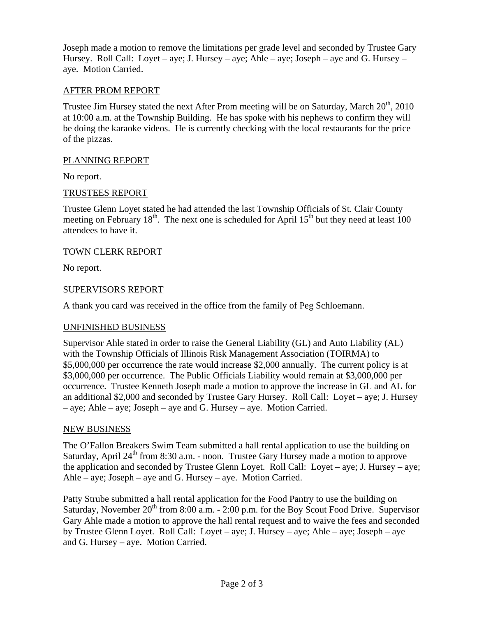Joseph made a motion to remove the limitations per grade level and seconded by Trustee Gary Hursey. Roll Call: Loyet – aye; J. Hursey – aye; Ahle – aye; Joseph – aye and G. Hursey – aye. Motion Carried.

## AFTER PROM REPORT

Trustee Jim Hursey stated the next After Prom meeting will be on Saturday, March 20<sup>th</sup>, 2010 at 10:00 a.m. at the Township Building. He has spoke with his nephews to confirm they will be doing the karaoke videos. He is currently checking with the local restaurants for the price of the pizzas.

#### PLANNING REPORT

No report.

## TRUSTEES REPORT

Trustee Glenn Loyet stated he had attended the last Township Officials of St. Clair County meeting on February 18<sup>th</sup>. The next one is scheduled for April  $15<sup>th</sup>$  but they need at least 100 attendees to have it.

#### TOWN CLERK REPORT

No report.

## SUPERVISORS REPORT

A thank you card was received in the office from the family of Peg Schloemann.

#### UNFINISHED BUSINESS

Supervisor Ahle stated in order to raise the General Liability (GL) and Auto Liability (AL) with the Township Officials of Illinois Risk Management Association (TOIRMA) to \$5,000,000 per occurrence the rate would increase \$2,000 annually. The current policy is at \$3,000,000 per occurrence. The Public Officials Liability would remain at \$3,000,000 per occurrence. Trustee Kenneth Joseph made a motion to approve the increase in GL and AL for an additional \$2,000 and seconded by Trustee Gary Hursey. Roll Call: Loyet – aye; J. Hursey – aye; Ahle – aye; Joseph – aye and G. Hursey – aye. Motion Carried.

#### NEW BUSINESS

The O'Fallon Breakers Swim Team submitted a hall rental application to use the building on Saturday, April  $24<sup>th</sup>$  from 8:30 a.m. - noon. Trustee Gary Hursey made a motion to approve the application and seconded by Trustee Glenn Loyet. Roll Call: Loyet – aye; J. Hursey – aye; Ahle – aye; Joseph – aye and G. Hursey – aye. Motion Carried.

Patty Strube submitted a hall rental application for the Food Pantry to use the building on Saturday, November 20<sup>th</sup> from 8:00 a.m. - 2:00 p.m. for the Boy Scout Food Drive. Supervisor Gary Ahle made a motion to approve the hall rental request and to waive the fees and seconded by Trustee Glenn Loyet. Roll Call: Loyet – aye; J. Hursey – aye; Ahle – aye; Joseph – aye and G. Hursey – aye. Motion Carried.